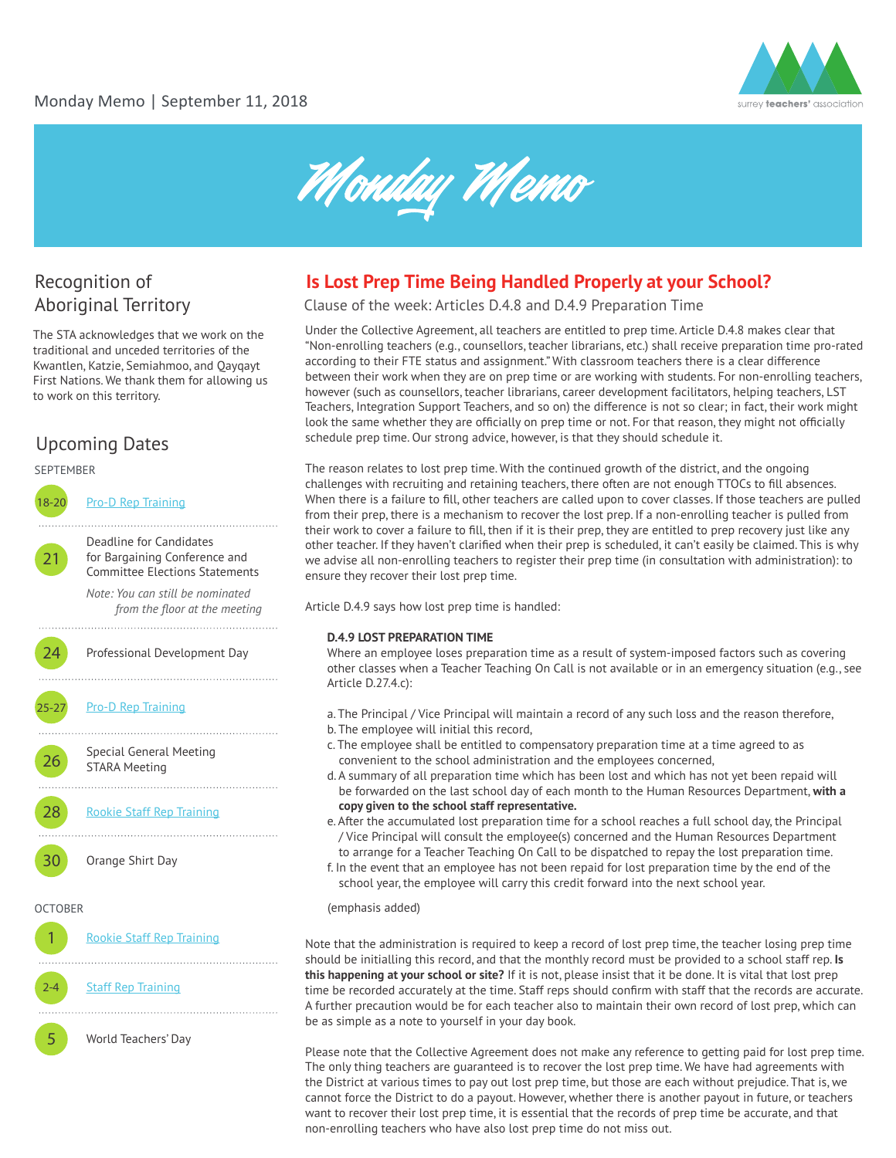



# Recognition of

The STA acknowledges that we work on the traditional and unceded territories of the Kwantlen, Katzie, Semiahmoo, and Qayqayt First Nations. We thank them for allowing us to work on this territory.

### Upcoming Dates

SEPTEMBER



### **Is Lost Prep Time Being Handled Properly at your School?**

Aboriginal Territory Clause of the week: Articles D.4.8 and D.4.9 Preparation Time

Under the Collective Agreement, all teachers are entitled to prep time. Article D.4.8 makes clear that "Non-enrolling teachers (e.g., counsellors, teacher librarians, etc.) shall receive preparation time pro-rated according to their FTE status and assignment." With classroom teachers there is a clear difference between their work when they are on prep time or are working with students. For non-enrolling teachers, however (such as counsellors, teacher librarians, career development facilitators, helping teachers, LST Teachers, Integration Support Teachers, and so on) the difference is not so clear; in fact, their work might look the same whether they are officially on prep time or not. For that reason, they might not officially schedule prep time. Our strong advice, however, is that they should schedule it.

The reason relates to lost prep time. With the continued growth of the district, and the ongoing challenges with recruiting and retaining teachers, there often are not enough TTOCs to fill absences. When there is a failure to fill, other teachers are called upon to cover classes. If those teachers are pulled from their prep, there is a mechanism to recover the lost prep. If a non-enrolling teacher is pulled from their work to cover a failure to fill, then if it is their prep, they are entitled to prep recovery just like any other teacher. If they haven't clarified when their prep is scheduled, it can't easily be claimed. This is why we advise all non-enrolling teachers to register their prep time (in consultation with administration): to ensure they recover their lost prep time.

Article D.4.9 says how lost prep time is handled:

#### **D.4.9 LOST PREPARATION TIME**

Where an employee loses preparation time as a result of system-imposed factors such as covering other classes when a Teacher Teaching On Call is not available or in an emergency situation (e.g., see Article D.27.4.c):

a. The Principal / Vice Principal will maintain a record of any such loss and the reason therefore,

- b. The employee will initial this record,
- c. The employee shall be entitled to compensatory preparation time at a time agreed to as convenient to the school administration and the employees concerned,
- d. A summary of all preparation time which has been lost and which has not yet been repaid will be forwarded on the last school day of each month to the Human Resources Department, **with a copy given to the school staff representative.**
- e. After the accumulated lost preparation time for a school reaches a full school day, the Principal / Vice Principal will consult the employee(s) concerned and the Human Resources Department to arrange for a Teacher Teaching On Call to be dispatched to repay the lost preparation time.
- f. In the event that an employee has not been repaid for lost preparation time by the end of the school year, the employee will carry this credit forward into the next school year.

(emphasis added)

Note that the administration is required to keep a record of lost prep time, the teacher losing prep time should be initialling this record, and that the monthly record must be provided to a school staff rep. **Is this happening at your school or site?** If it is not, please insist that it be done. It is vital that lost prep time be recorded accurately at the time. Staff reps should confirm with staff that the records are accurate. A further precaution would be for each teacher also to maintain their own record of lost prep, which can be as simple as a note to yourself in your day book.

Please note that the Collective Agreement does not make any reference to getting paid for lost prep time. The only thing teachers are guaranteed is to recover the lost prep time. We have had agreements with the District at various times to pay out lost prep time, but those are each without prejudice. That is, we cannot force the District to do a payout. However, whether there is another payout in future, or teachers want to recover their lost prep time, it is essential that the records of prep time be accurate, and that non-enrolling teachers who have also lost prep time do not miss out.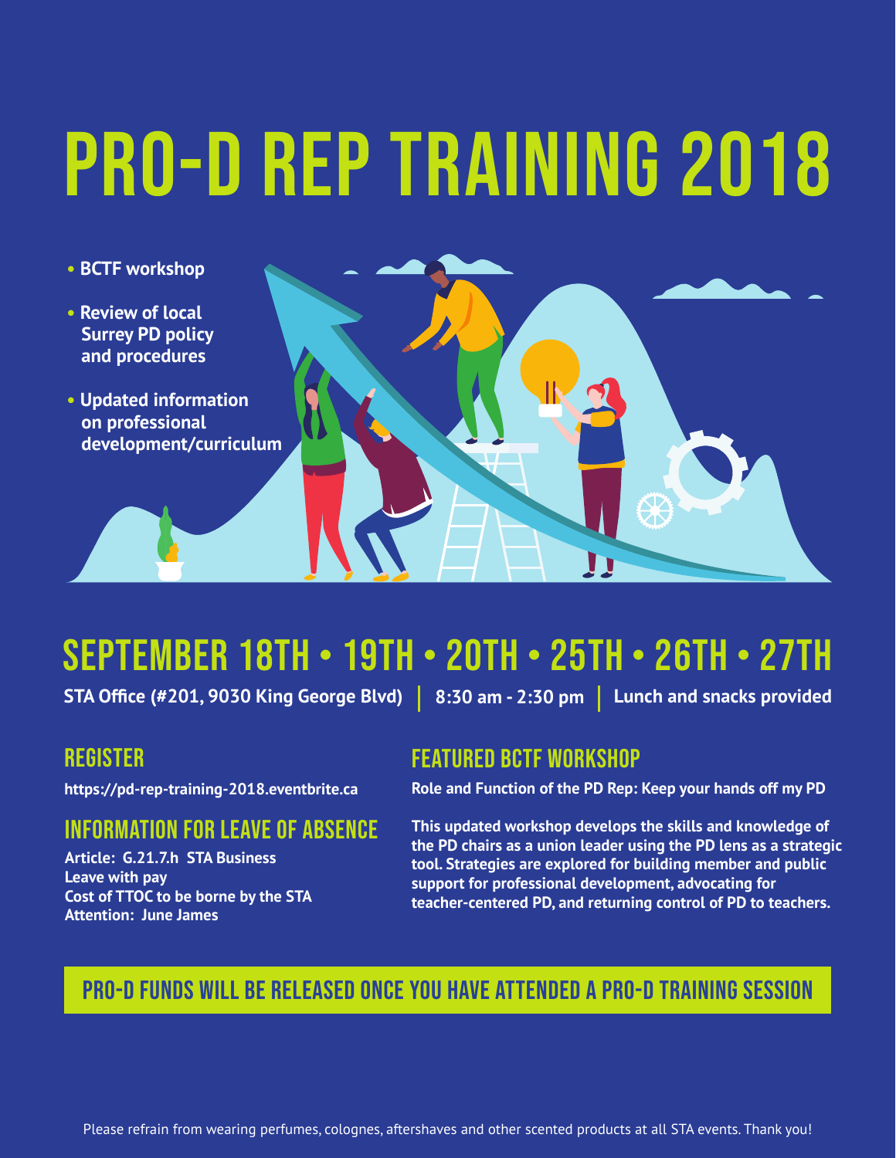# PRO-D REP TRAINING 2018

- **BCTF workshop**
- **Review of local Surrey PD policy and procedures**
- **Updated information on professional development/curriculum**



# SEPTEMBER 18th • 19th • 20th • 25th • 26th • 27th

**STA Office (#201, 9030 King George Blvd) 8:30 am - 2:30 pm Lunch and snacks provided**

### **REGISTER**

**<https://pd-rep-training-2018.eventbrite.ca>**

# Information for Leave of Absence

**Article: G.21.7.h STA Business Leave with pay Cost of TTOC to be borne by the STA Attention: June James**

# featured bctf workshop

**Role and Function of the PD Rep: Keep your hands off my PD** 

**This updated workshop develops the skills and knowledge of the PD chairs as a union leader using the PD lens as a strategic tool. Strategies are explored for building member and public support for professional development, advocating for teacher-centered PD, and returning control of PD to teachers.** 

## Pro-D Funds will be released once you have attended a Pro-D training session

Please refrain from wearing perfumes, colognes, aftershaves and other scented products at all STA events. Thank you!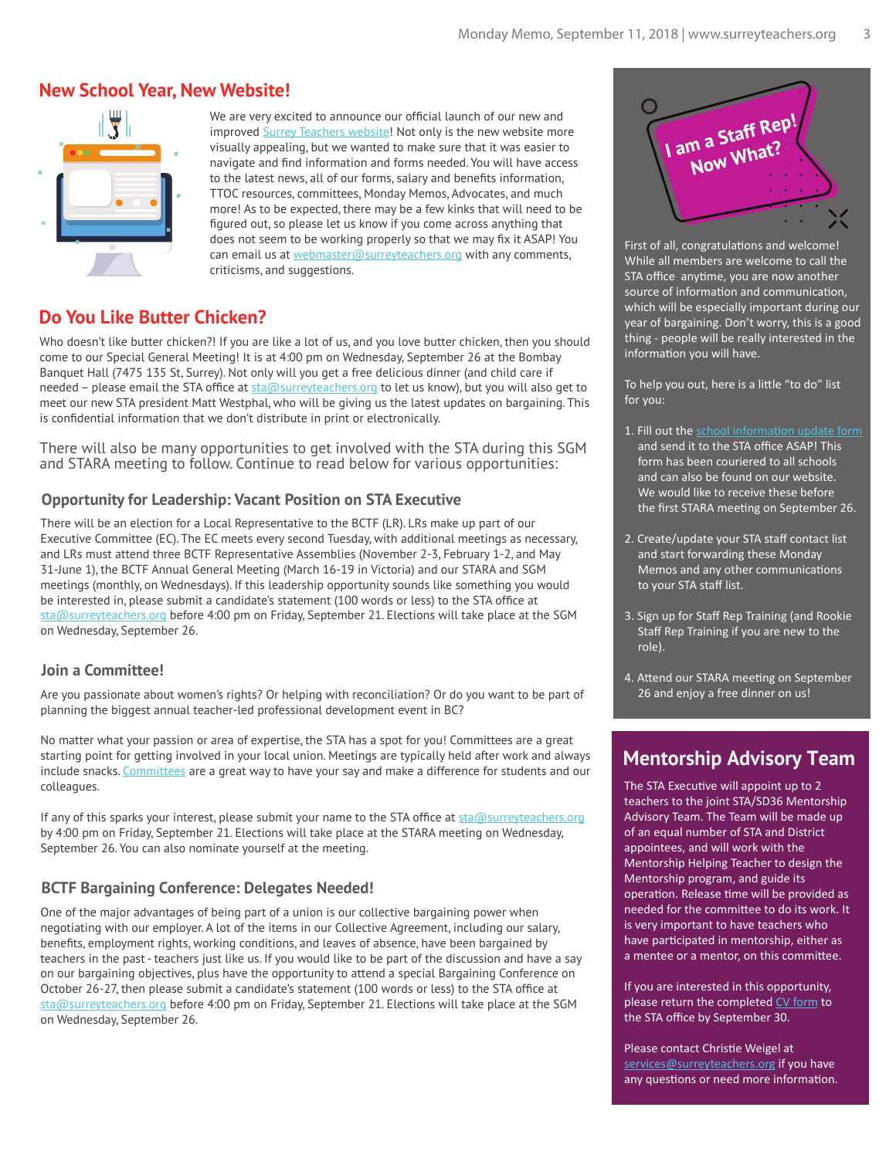### **New School Year, New Website!**



We are very excited to announce our official launch of our new and improved [Surrey Teachers website!](www.surreyteachers.org) Not only is the new website more visually appealing, but we wanted to make sure that it was easier to navigate and find information and forms needed. You will have access to the latest news, all of our forms, salary and benefits information, TTOC resources, committees, Monday Memos, Advocates, and much more! As to be expected, there may be a few kinks that will need to be figured out, so please let us know if you come across anything that does not seem to be working properly so that we may fix it ASAP! You can email us at [webmaster@surreyteachers.org](mailto:webmaster@surreyteachers.org) with any comments, criticisms, and suggestions.

### **Do You Like Butter Chicken?**

Who doesn't like butter chicken?! If you are like a lot of us, and you love butter chicken, then you should come to our Special General Meeting! It is at 4:00 pm on Wednesday, September 26 at the Bombay Banquet Hall (7475 135 St, Surrey). Not only will you get a free delicious dinner (and child care if needed - please email the STA office at [sta@surreyteachers.org](mailto:sta@surreyteachers.org) to let us know), but you will also get to meet our new STA president Matt Westphal, who will be giving us the latest updates on bargaining. This is confidential information that we don't distribute in print or electronically.

There will also be many opportunities to get involved with the STA during this SGM and STARA meeting to follow. Continue to read below for various opportunities:

#### **Opportunity for Leadership: Vacant Position on STA Executive**

There will be an election for a Local Representative to the BCTF (LR). LRs make up part of our Executive Committee (EC). The EC meets every second Tuesday, with additional meetings as necessary, and LRs must attend three BCTF Representative Assemblies (November 2-3, February 1-2, and May 31-June 1), the BCTF Annual General Meeting (March 16-19 in Victoria) and our STARA and SGM meetings (monthly, on Wednesdays). If this leadership opportunity sounds like something you would be interested in, please submit a candidate's statement (100 words or less) to the STA office at [sta@surreyteachers.org](mailto:sta@surreyteachers.org) before 4:00 pm on Friday, September 21. Elections will take place at the SGM on Wednesday, September 26.

#### **Join a Committee!**

Are you passionate about women's rights? Or helping with reconciliation? Or do you want to be part of planning the biggest annual teacher-led professional development event in BC?

No matter what your passion or area of expertise, the STA has a spot for you! Committees are a great starting point for getting involved in your local union. Meetings are typically held after work and always include snacks. [Committees](http://www.surreyteachers.org/about-us/committees/) are a great way to have your say and make a difference for students and our colleagues.

If any of this sparks your interest, please submit your name to the STA office at [sta@surreyteachers.org](mailto:sta@surreyteachers.org) by 4:00 pm on Friday, September 21. Elections will take place at the STARA meeting on Wednesday, September 26. You can also nominate yourself at the meeting.

#### **BCTF Bargaining Conference: Delegates Needed!**

One of the major advantages of being part of a union is our collective bargaining power when negotiating with our employer. A lot of the items in our Collective Agreement, including our salary, benefits, employment rights, working conditions, and leaves of absence, have been bargained by teachers in the past - teachers just like us. If you would like to be part of the discussion and have a say on our bargaining objectives, plus have the opportunity to attend a special Bargaining Conference on October 26-27, then please submit a candidate's statement (100 words or less) to the STA office at [sta@surreyteachers.org](mailto:sta@surreyteachers.org) before 4:00 pm on Friday, September 21. Elections will take place at the SGM on Wednesday, September 26.



First of all, congratulations and welcome! While all members are welcome to call the STA office anytime, you are now another source of information and communication, which will be especially important during our year of bargaining. Don't worry, this is a good thing - people will be really interested in the information you will have.

To help you out, here is a little "to do" list for you:

- 1. Fill out the school information update form and send it to the STA office ASAP! This form has been couriered to all schools and can also be found on our website. We would like to receive these before the first STARA meeting on September 26.
- 2. Create/update your STA staff contact list and start forwarding these Monday Memos and any other communications to your STA staff list.
- 3. Sign up for Staff Rep Training (and Rookie Staff Rep Training if you are new to the role).
- 4. Attend our STARA meeting on September 26 and enjoy a free dinner on us!

### **Mentorship Advisory Team**

The STA Executive will appoint up to 2 teachers to the joint STA/SD36 Mentorship Advisory Team. The Team will be made up of an equal number of STA and District appointees, and will work with the Mentorship Helping Teacher to design the Mentorship program, and guide its operation. Release time will be provided as needed for the committee to do its work. It is very important to have teachers who have participated in mentorship, either as a mentee or a mentor, on this committee.

If you are interested in this opportunity, please return the completed [CV form](https://www.surreyteachers.org/wp-content/uploads/2018/07/CMT-STACV-Form.pdf) to the STA office by September 30.

Please contact Christie Weigel at [services@surreyteachers.org i](mailto:services@surreyteachers.org)f you have any questions or need more information.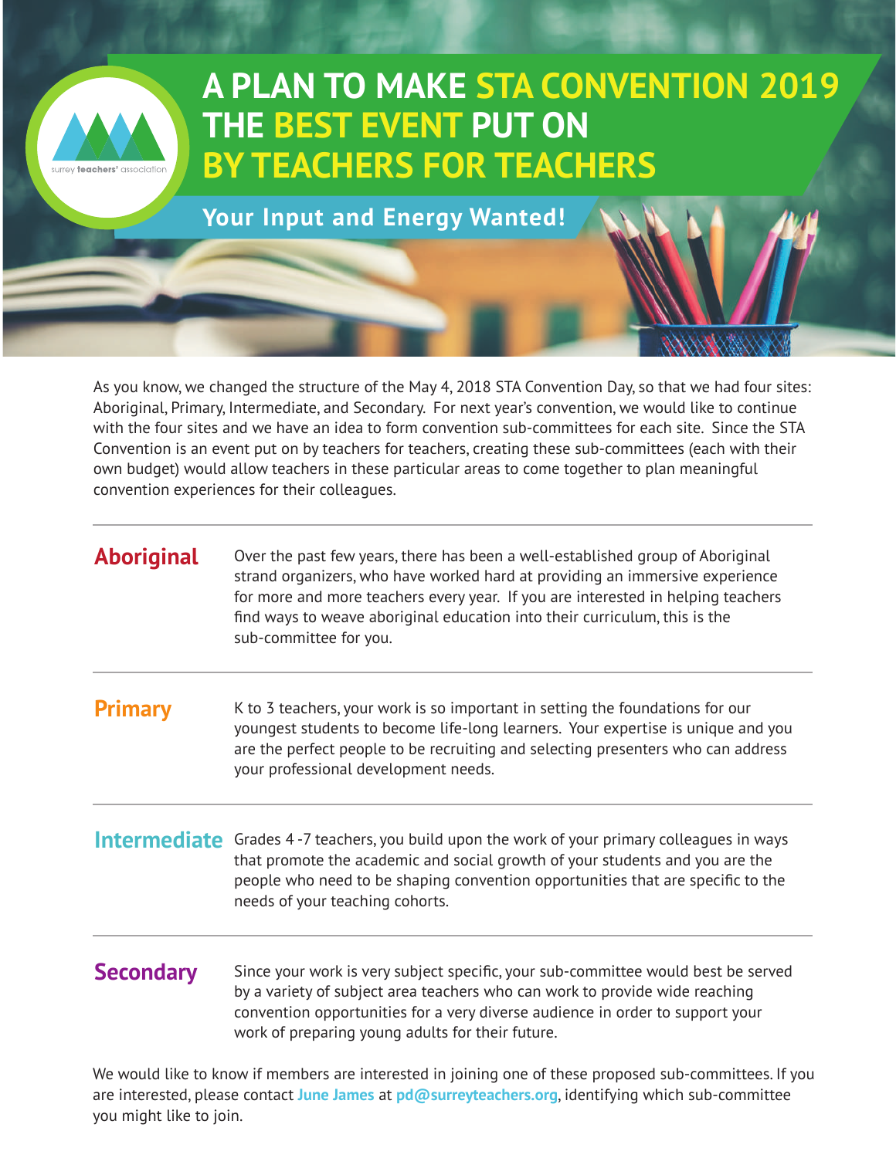

# **A PLAN TO MAKE STA CONVENTION 2019 THE BEST EVENT PUT ON BY TEACHERS FOR TEACHERS**

**Your Input and Energy Wanted!**

As you know, we changed the structure of the May 4, 2018 STA Convention Day, so that we had four sites: Aboriginal, Primary, Intermediate, and Secondary. For next year's convention, we would like to continue with the four sites and we have an idea to form convention sub-committees for each site. Since the STA Convention is an event put on by teachers for teachers, creating these sub-committees (each with their own budget) would allow teachers in these particular areas to come together to plan meaningful convention experiences for their colleagues.

| <b>Aboriginal</b> | Over  |
|-------------------|-------|
|                   | ctron |

the past few years, there has been a well-established group of Aboriginal strand organizers, who have worked hard at providing an immersive experience for more and more teachers every year. If you are interested in helping teachers find ways to weave aboriginal education into their curriculum, this is the sub-committee for you.

K to 3 teachers, your work is so important in setting the foundations for our youngest students to become life-long learners. Your expertise is unique and you are the perfect people to be recruiting and selecting presenters who can address your professional development needs. **Primary**

**Intermediate** Grades 4-7 teachers, you build upon the work of your primary colleagues in ways that promote the academic and social growth of your students and you are the people who need to be shaping convention opportunities that are specific to the needs of your teaching cohorts.

### **Secondary**

Since your work is very subject specific, your sub-committee would best be served by a variety of subject area teachers who can work to provide wide reaching convention opportunities for a very diverse audience in order to support your work of preparing young adults for their future.

We would like to know if members are interested in joining one of these proposed sub-committees. If you are interested, please contact **June James** at **[pd@surreyteachers.org](mailto:pd@surreyteachers.org)**, identifying which sub-committee you might like to join.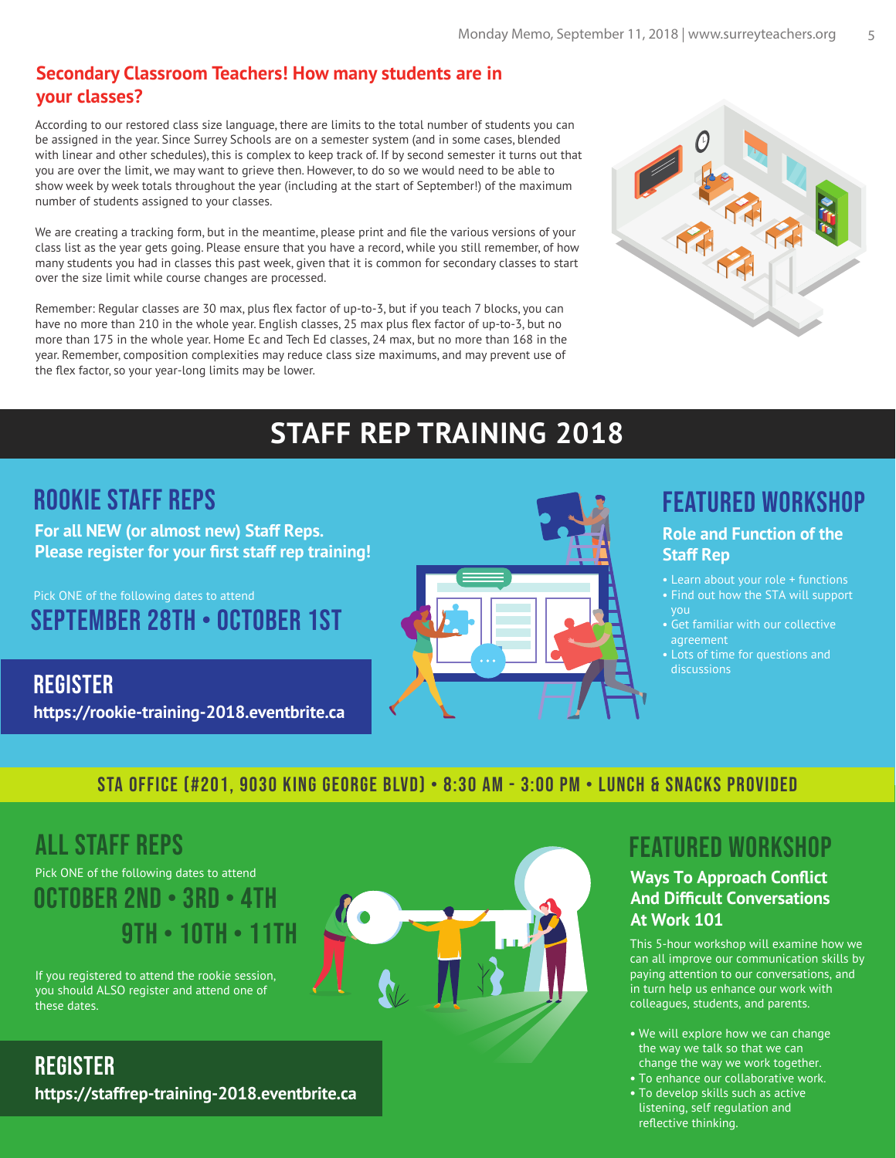### **Secondary Classroom Teachers! How many students are in your classes?**

According to our restored class size language, there are limits to the total number of students you can be assigned in the year. Since Surrey Schools are on a semester system (and in some cases, blended with linear and other schedules), this is complex to keep track of. If by second semester it turns out that you are over the limit, we may want to grieve then. However, to do so we would need to be able to show week by week totals throughout the year (including at the start of September!) of the maximum number of students assigned to your classes.

We are creating a tracking form, but in the meantime, please print and file the various versions of your class list as the year gets going. Please ensure that you have a record, while you still remember, of how many students you had in classes this past week, given that it is common for secondary classes to start over the size limit while course changes are processed.

Remember: Regular classes are 30 max, plus flex factor of up-to-3, but if you teach 7 blocks, you can have no more than 210 in the whole year. English classes, 25 max plus flex factor of up-to-3, but no more than 175 in the whole year. Home Ec and Tech Ed classes, 24 max, but no more than 168 in the year. Remember, composition complexities may reduce class size maximums, and may prevent use of the flex factor, so your year-long limits may be lower.

| $\frac{1}{2}$<br>RA<br>ORE<br>PA PA |
|-------------------------------------|
|-------------------------------------|

# **STAFF REP TRAINING 2018**

# ROOKIE Staff reps

**For all NEW (or almost new) Staff Reps. Please register for your first staff rep training!**

September 28th • October 1st Pick ONE of the following dates to attend

**REGISTER <https://rookie-training-2018.eventbrite.ca>**



## Featured Workshop **Role and Function of the**

- **Staff Rep**
- Learn about your role + functions
- Find out how the STA will support you
- Get familiar with our collective agreement
- Lots of time for questions and discussions

### STA Office (#201, 9030 King George Blvd) • 8:30 am - 3:00 pm • lunch & snacks provided

# All staff rePs

Pick ONE of the following dates to attend October 2nd • 3rd • 4th 9th • 10th • 11th

If you registered to attend the rookie session, you should ALSO register and attend one of these dates.

Register **<https://staffrep-training-2018.eventbrite.ca>**

# Featured Workshop

### **Ways To Approach Conflict And Difficult Conversations At Work 101**

This 5-hour workshop will examine how we can all improve our communication skills by paying attention to our conversations, and in turn help us enhance our work with colleagues, students, and parents.

- **•** We will explore how we can change the way we talk so that we can change the way we work together.
- **•** To enhance our collaborative work.
- **•** To develop skills such as active listening, self regulation and reflective thinking.